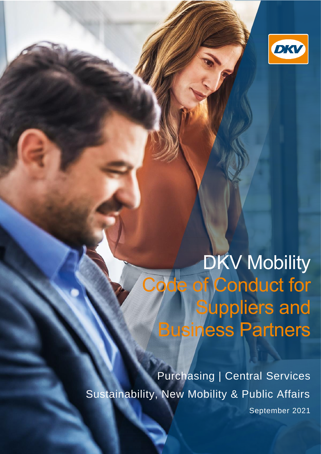

# DKV Mobility Code of Conduct for **Suppliers and** Business Partners

Purchasing | Central Services Sustainability, New Mobility & Public Affairs September 2021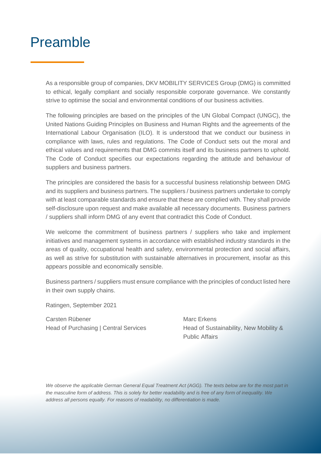### Preamble

As a responsible group of companies, DKV MOBILITY SERVICES Group (DMG) is committed to ethical, legally compliant and socially responsible corporate governance. We constantly strive to optimise the social and environmental conditions of our business activities.

The following principles are based on the principles of the UN Global Compact (UNGC), the United Nations Guiding Principles on Business and Human Rights and the agreements of the International Labour Organisation (ILO). It is understood that we conduct our business in compliance with laws, rules and regulations. The Code of Conduct sets out the moral and ethical values and requirements that DMG commits itself and its business partners to uphold. The Code of Conduct specifies our expectations regarding the attitude and behaviour of suppliers and business partners.

The principles are considered the basis for a successful business relationship between DMG and its suppliers and business partners. The suppliers / business partners undertake to comply with at least comparable standards and ensure that these are complied with. They shall provide self-disclosure upon request and make available all necessary documents. Business partners / suppliers shall inform DMG of any event that contradict this Code of Conduct.

We welcome the commitment of business partners / suppliers who take and implement initiatives and management systems in accordance with established industry standards in the areas of quality, occupational health and safety, environmental protection and social affairs, as well as strive for substitution with sustainable alternatives in procurement, insofar as this appears possible and economically sensible.

Business partners / suppliers must ensure compliance with the principles of conduct listed here in their own supply chains.

Ratingen, September 2021

Carsten Rübener Marc Erkens Head of Purchasing | Central Services Head of Sustainability, New Mobility &

Public Affairs

*We observe the applicable German General Equal Treatment Act (AGG). The texts below are for the most part in the masculine form of address. This is solely for better readability and is free of any form of inequality. We address all persons equally. For reasons of readability, no differentiation is made.*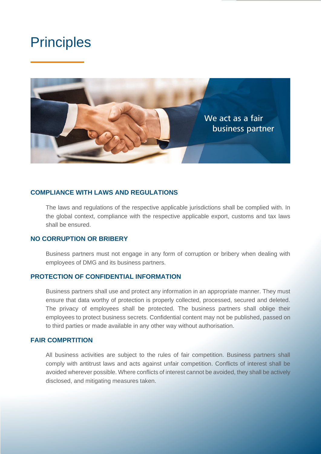

#### **COMPLIANCE WITH LAWS AND REGULATIONS**

The laws and regulations of the respective applicable jurisdictions shall be complied with. In the global context, compliance with the respective applicable export, customs and tax laws shall be ensured.

#### **NO CORRUPTION OR BRIBERY**

Business partners must not engage in any form of corruption or bribery when dealing with employees of DMG and its business partners.

### **PROTECTION OF CONFIDENTIAL INFORMATION**

Business partners shall use and protect any information in an appropriate manner. They must ensure that data worthy of protection is properly collected, processed, secured and deleted. The privacy of employees shall be protected. The business partners shall oblige their employees to protect business secrets. Confidential content may not be published, passed on to third parties or made available in any other way without authorisation.

### **FAIR COMPRTITION**

All business activities are subject to the rules of fair competition. Business partners shall comply with antitrust laws and acts against unfair competition. Conflicts of interest shall be avoided wherever possible. Where conflicts of interest cannot be avoided, they shall be actively disclosed, and mitigating measures taken.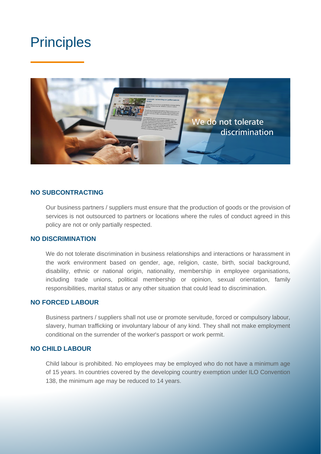

### **NO SUBCONTRACTING**

Our business partners / suppliers must ensure that the production of goods or the provision of services is not outsourced to partners or locations where the rules of conduct agreed in this policy are not or only partially respected.

### **NO DISCRIMINATION**

We do not tolerate discrimination in business relationships and interactions or harassment in the work environment based on gender, age, religion, caste, birth, social background, disability, ethnic or national origin, nationality, membership in employee organisations, including trade unions, political membership or opinion, sexual orientation, family responsibilities, marital status or any other situation that could lead to discrimination.

### **NO FORCED LABOUR**

Business partners / suppliers shall not use or promote servitude, forced or compulsory labour, slavery, human trafficking or involuntary labour of any kind. They shall not make employment conditional on the surrender of the worker's passport or work permit.

### **NO CHILD LABOUR**

Child labour is prohibited. No employees may be employed who do not have a minimum age of 15 years. In countries covered by the developing country exemption under ILO Convention 138, the minimum age may be reduced to 14 years.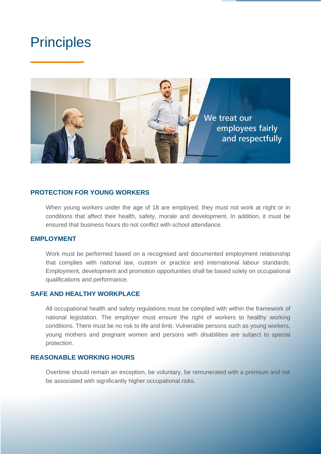

### **PROTECTION FOR YOUNG WORKERS**

When young workers under the age of 18 are employed, they must not work at night or in conditions that affect their health, safety, morale and development. In addition, it must be ensured that business hours do not conflict with school attendance.

#### **EMPLOYMENT**

Work must be performed based on a recognised and documented employment relationship that complies with national law, custom or practice and international labour standards. Employment, development and promotion opportunities shall be based solely on occupational qualifications and performance.

### **SAFE AND HEALTHY WORKPLACE**

All occupational health and safety regulations must be complied with within the framework of national legislation. The employer must ensure the right of workers to healthy working conditions. There must be no risk to life and limb. Vulnerable persons such as young workers, young mothers and pregnant women and persons with disabilities are subject to special protection.

### **REASONABLE WORKING HOURS**

Overtime should remain an exception, be voluntary, be remunerated with a premium and not be associated with significantly higher occupational risks.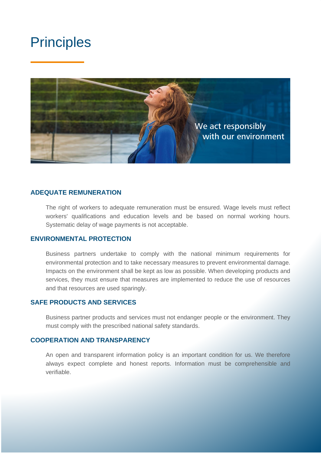

#### **ADEQUATE REMUNERATION**

The right of workers to adequate remuneration must be ensured. Wage levels must reflect workers' qualifications and education levels and be based on normal working hours. Systematic delay of wage payments is not acceptable.

#### **ENVIRONMENTAL PROTECTION**

Business partners undertake to comply with the national minimum requirements for environmental protection and to take necessary measures to prevent environmental damage. Impacts on the environment shall be kept as low as possible. When developing products and services, they must ensure that measures are implemented to reduce the use of resources and that resources are used sparingly.

### **SAFE PRODUCTS AND SERVICES**

Business partner products and services must not endanger people or the environment. They must comply with the prescribed national safety standards.

### **COOPERATION AND TRANSPARENCY**

An open and transparent information policy is an important condition for us. We therefore always expect complete and honest reports. Information must be comprehensible and verifiable.